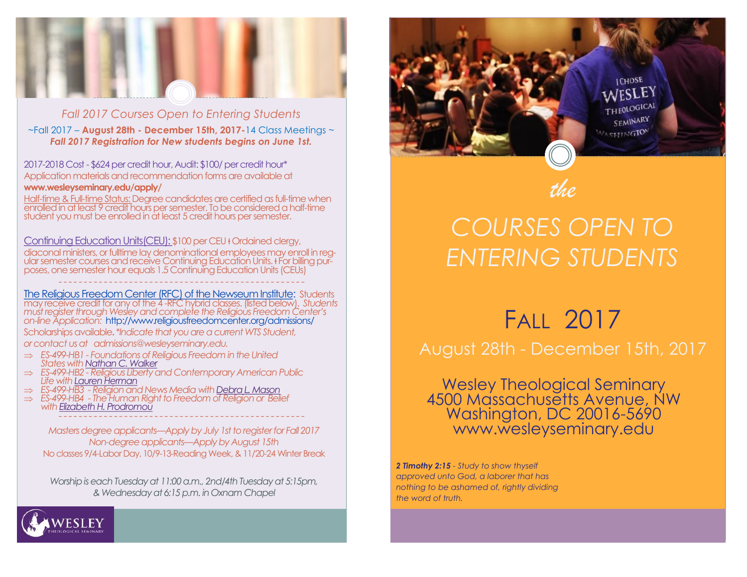

### *Fall 2017 Courses Open to Entering Students*

~Fall 2017 – **August 28th - December 15th, 2017-**14 Class Meetings ~ *Fall 2017 Registration for New students begins on June 1st.* 

2017-2018 Cost - \$624 per credit hour, Audit: \$100/ per credit hour\* Application materials and recommendation forms are available at **www.wesleyseminary.edu/apply/** 

Half-time & Full-time Status: Degree candidates are certified as full-time when enrolled in at least 9 credit hours per semester. To be considered a half-time student you must be enrolled in at least 5 credit hours per semester.

Continuing Education Units(CEU): \$100 per CEU + Ordained clergy,

diaconal ministers, or fulltime lay denominational employees may enroll in regular semester courses and receive Continuing Education Units. Her billing purposes, one semester hour equals 1.5 Continuing Education Units (CEUs)

[The Religious Freedom Center \(RFC\) of the Newseum Institute:](http://www.religiousfreedomcenter.org/) Students may receive credit for any of the 4 -RFC hybrid classes. (listed below). *Students must register through Wesley and complete the Religious Freedom Center's on-line Application:* http://www.religiousfreedomcenter.org/admissions/

--------------------------------------------- ----

Scholarships available**.** \**Indicate that you are a current WTS Student, or contact us at admissions@wesleyseminary.edu.* 

- *ES-499-HB1 - Foundations of Religious Freedom in the United States with [Nathan C. Walker](http://www.religiousfreedomcenter.org/contact/directory/?entry=18)*
- *ES-499-HB2 - Religious Liberty and Contemporary American Public Life with [Lauren Herman](http://www.religiousfreedomcenter.org/contact/directory/?entry=23)*
- *ES-499-HB3 - Religion and News Media with [Debra L. Mason](http://www.religiousfreedomcenter.org/contact/directory/?entry=24)*
- *ES-499-HB4 - The Human Right to Freedom of Religion or Belief with [Elizabeth H. Prodromou](http://www.religiousfreedomcenter.org/contact/directory/?entry=25)* --------------------------------------------- ----

western Theological Terminary<br>Minimary Meek 18, 11 / 20-24 Winter Break No classes 9/4-Labor Day, 10/9-13-Reading Week, & 11/20-24 Winter Break *Masters degree applicants—Apply by July 1st to register for Fall 2017 Non-degree applicants—Apply by August 15th* 

www.wesleyseminary.edu *Worship is each Tuesday at 11:00 a.m., 2nd/4th Tuesday at 5:15pm, & Wednesday at 6:15 p.m. in Oxnam Chapel*



# *COURSES OPEN TO ENTERING STUDENTS*

FALL 2017

August 28th - December 15th, 2017

Wesley Theological Seminary 4500 Massachusetts Avenue, NW Washington, DC 20016-5690 www.wesleyseminary.edu

*2 Timothy 2:15 - Study to show thyself approved unto God, a laborer that has nothing to be ashamed of, rightly dividing the word of truth.*